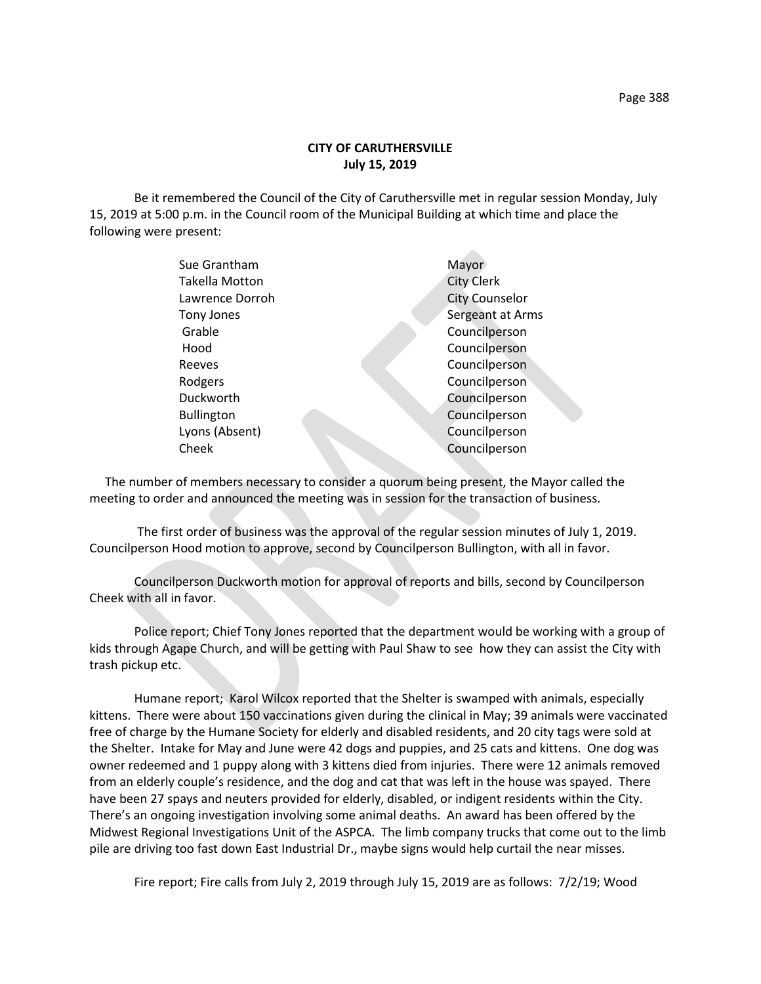Be it remembered the Council of the City of Caruthersville met in regular session Monday, July 15, 2019 at 5:00 p.m. in the Council room of the Municipal Building at which time and place the following were present:

| Sue Grantham      | Mayor                 |
|-------------------|-----------------------|
| Takella Motton    | <b>City Clerk</b>     |
| Lawrence Dorroh   | <b>City Counselor</b> |
| Tony Jones        | Sergeant at Arms      |
| Grable            | Councilperson         |
| Hood              | Councilperson         |
| Reeves            | Councilperson         |
| Rodgers           | Councilperson         |
| Duckworth         | Councilperson         |
| <b>Bullington</b> | Councilperson         |
| Lyons (Absent)    | Councilperson         |
| Cheek             | Councilperson         |
|                   |                       |

 The number of members necessary to consider a quorum being present, the Mayor called the meeting to order and announced the meeting was in session for the transaction of business.

The first order of business was the approval of the regular session minutes of July 1, 2019. Councilperson Hood motion to approve, second by Councilperson Bullington, with all in favor.

Councilperson Duckworth motion for approval of reports and bills, second by Councilperson Cheek with all in favor.

Police report; Chief Tony Jones reported that the department would be working with a group of kids through Agape Church, and will be getting with Paul Shaw to see how they can assist the City with trash pickup etc.

Humane report; Karol Wilcox reported that the Shelter is swamped with animals, especially kittens. There were about 150 vaccinations given during the clinical in May; 39 animals were vaccinated free of charge by the Humane Society for elderly and disabled residents, and 20 city tags were sold at the Shelter. Intake for May and June were 42 dogs and puppies, and 25 cats and kittens. One dog was owner redeemed and 1 puppy along with 3 kittens died from injuries. There were 12 animals removed from an elderly couple's residence, and the dog and cat that was left in the house was spayed. There have been 27 spays and neuters provided for elderly, disabled, or indigent residents within the City. There's an ongoing investigation involving some animal deaths. An award has been offered by the Midwest Regional Investigations Unit of the ASPCA. The limb company trucks that come out to the limb pile are driving too fast down East Industrial Dr., maybe signs would help curtail the near misses.

Fire report; Fire calls from July 2, 2019 through July 15, 2019 are as follows: 7/2/19; Wood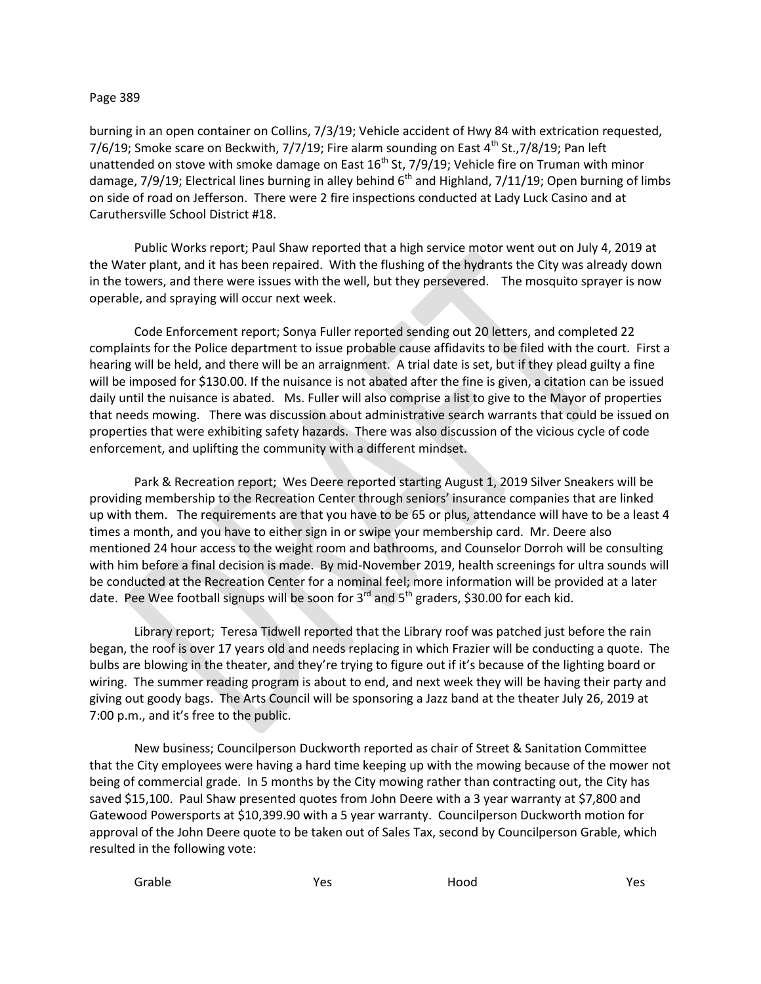## Page 389

burning in an open container on Collins, 7/3/19; Vehicle accident of Hwy 84 with extrication requested, 7/6/19; Smoke scare on Beckwith, 7/7/19; Fire alarm sounding on East  $4^{th}$  St., 7/8/19; Pan left unattended on stove with smoke damage on East  $16^{th}$  St, 7/9/19; Vehicle fire on Truman with minor damage,  $7/9/19$ ; Electrical lines burning in alley behind  $6<sup>th</sup>$  and Highland,  $7/11/19$ ; Open burning of limbs on side of road on Jefferson. There were 2 fire inspections conducted at Lady Luck Casino and at Caruthersville School District #18.

Public Works report; Paul Shaw reported that a high service motor went out on July 4, 2019 at the Water plant, and it has been repaired. With the flushing of the hydrants the City was already down in the towers, and there were issues with the well, but they persevered. The mosquito sprayer is now operable, and spraying will occur next week.

Code Enforcement report; Sonya Fuller reported sending out 20 letters, and completed 22 complaints for the Police department to issue probable cause affidavits to be filed with the court. First a hearing will be held, and there will be an arraignment. A trial date is set, but if they plead guilty a fine will be imposed for \$130.00. If the nuisance is not abated after the fine is given, a citation can be issued daily until the nuisance is abated. Ms. Fuller will also comprise a list to give to the Mayor of properties that needs mowing. There was discussion about administrative search warrants that could be issued on properties that were exhibiting safety hazards. There was also discussion of the vicious cycle of code enforcement, and uplifting the community with a different mindset.

Park & Recreation report; Wes Deere reported starting August 1, 2019 Silver Sneakers will be providing membership to the Recreation Center through seniors' insurance companies that are linked up with them. The requirements are that you have to be 65 or plus, attendance will have to be a least 4 times a month, and you have to either sign in or swipe your membership card. Mr. Deere also mentioned 24 hour access to the weight room and bathrooms, and Counselor Dorroh will be consulting with him before a final decision is made. By mid-November 2019, health screenings for ultra sounds will be conducted at the Recreation Center for a nominal feel; more information will be provided at a later date. Pee Wee football signups will be soon for  $3^{rd}$  and  $5^{th}$  graders, \$30.00 for each kid.

Library report; Teresa Tidwell reported that the Library roof was patched just before the rain began, the roof is over 17 years old and needs replacing in which Frazier will be conducting a quote. The bulbs are blowing in the theater, and they're trying to figure out if it's because of the lighting board or wiring. The summer reading program is about to end, and next week they will be having their party and giving out goody bags. The Arts Council will be sponsoring a Jazz band at the theater July 26, 2019 at 7:00 p.m., and it's free to the public.

New business; Councilperson Duckworth reported as chair of Street & Sanitation Committee that the City employees were having a hard time keeping up with the mowing because of the mower not being of commercial grade. In 5 months by the City mowing rather than contracting out, the City has saved \$15,100. Paul Shaw presented quotes from John Deere with a 3 year warranty at \$7,800 and Gatewood Powersports at \$10,399.90 with a 5 year warranty. Councilperson Duckworth motion for approval of the John Deere quote to be taken out of Sales Tax, second by Councilperson Grable, which resulted in the following vote:

Grable Yes Hood Yes